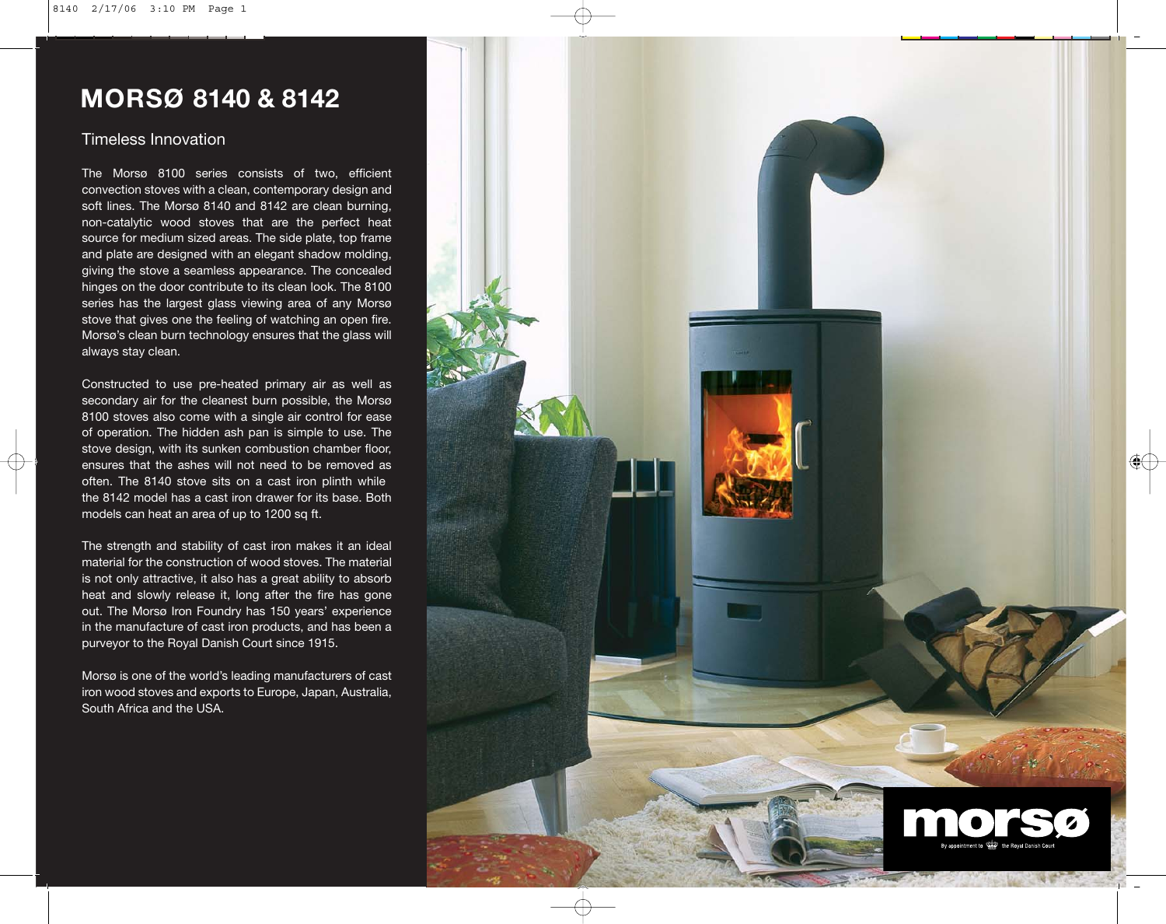# **MORSØ 8140 & 8142**

## Timeless Innovation

The Morsø 8100 series consists of two, efficient convection stoves with a clean, contemporary design and soft lines. The Morsø 8140 and 8142 are clean burning, non-catalytic wood stoves that are the perfect heat source for medium sized areas. The side plate, top frame and plate are designed with an elegant shadow molding, giving the stove a seamless appearance. The concealed hinges on the door contribute to its clean look. The 8100 series has the largest glass viewing area of any Morsø stove that gives one the feeling of watching an open fire. Morsø's clean burn technology ensures that the glass will always stay clean.

Constructed to use pre-heated primary air as well as secondary air for the cleanest burn possible, the Morsø 8100 stoves also come with a single air control for ease of operation. The hidden ash pan is simple to use. The stove design, with its sunken combustion chamber floor, ensures that the ashes will not need to be removed as often. The 8140 stove sits on a cast iron plinth while the 8142 model has a cast iron drawer for its base. Both models can heat an area of up to 1200 sq ft.

The strength and stability of cast iron makes it an ideal material for the construction of wood stoves. The material is not only attractive, it also has a great ability to absorb heat and slowly release it, long after the fire has gone out. The Morsø Iron Foundry has 150 years' experience in the manufacture of cast iron products, and has been a purveyor to the Royal Danish Court since 1915.

Morsø is one of the world's leading manufacturers of cast iron wood stoves and exports to Europe, Japan, Australia, South Africa and the USA.